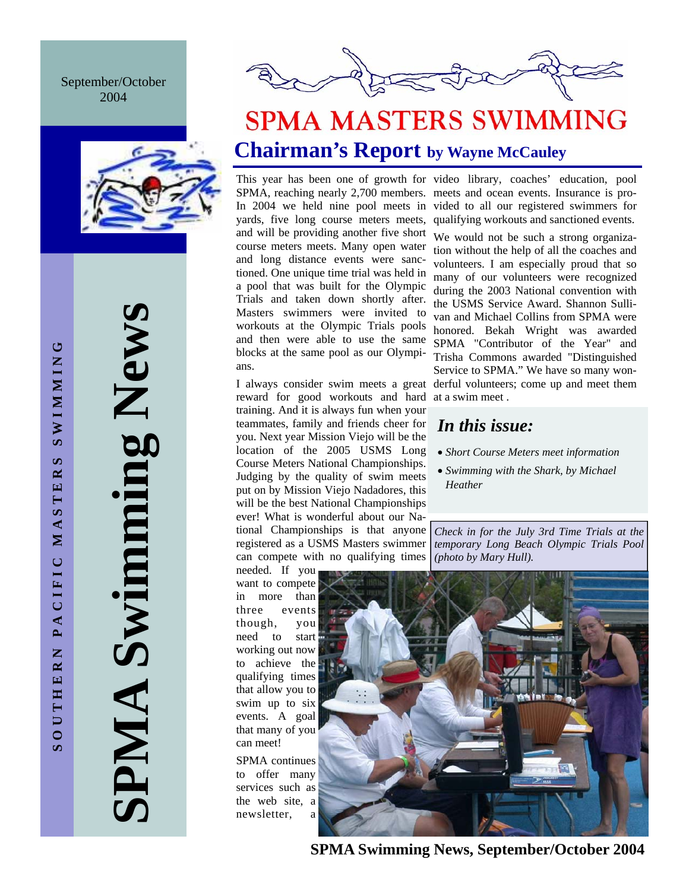### September/October 2004



**SPMA Swimming News SPMA Swimming News** 



## **SPMA MASTERS SWIMMING Chairman's Report by Wayne McCauley**

yards, five long course meters meets, and will be providing another five short course meters meets. Many open water and long distance events were sanctioned. One unique time trial was held in a pool that was built for the Olympic Trials and taken down shortly after. Masters swimmers were invited to workouts at the Olympic Trials pools and then were able to use the same blocks at the same pool as our Olympians.

reward for good workouts and hard training. And it is always fun when your teammates, family and friends cheer for you. Next year Mission Viejo will be the location of the 2005 USMS Long Course Meters National Championships. Judging by the quality of swim meets put on by Mission Viejo Nadadores, this will be the best National Championships ever! What is wonderful about our National Championships is that anyone registered as a USMS Masters swimmer can compete with no qualifying times

needed. If you want to compete in more than three events though, you need to start working out now to achieve the qualifying times that allow you to swim up to six events. A goal that many of you can meet!

SPMA continues to offer many services such as the web site, a newsletter, a

This year has been one of growth for video library, coaches' education, pool SPMA, reaching nearly 2,700 members. meets and ocean events. Insurance is pro-In 2004 we held nine pool meets in vided to all our registered swimmers for qualifying workouts and sanctioned events.

I always consider swim meets a great derful volunteers; come up and meet them We would not be such a strong organization without the help of all the coaches and volunteers. I am especially proud that so many of our volunteers were recognized during the 2003 National convention with the USMS Service Award. Shannon Sullivan and Michael Collins from SPMA were honored. Bekah Wright was awarded SPMA "Contributor of the Year" and Trisha Commons awarded "Distinguished Service to SPMA." We have so many wonat a swim meet .

## *In this issue:*

- *Short Course Meters meet information*
- *Swimming with the Shark, by Michael Heather*

*Check in for the July 3rd Time Trials at the temporary Long Beach Olympic Trials Pool (photo by Mary Hull).* 



**SPMA Swimming News, September/October 2004**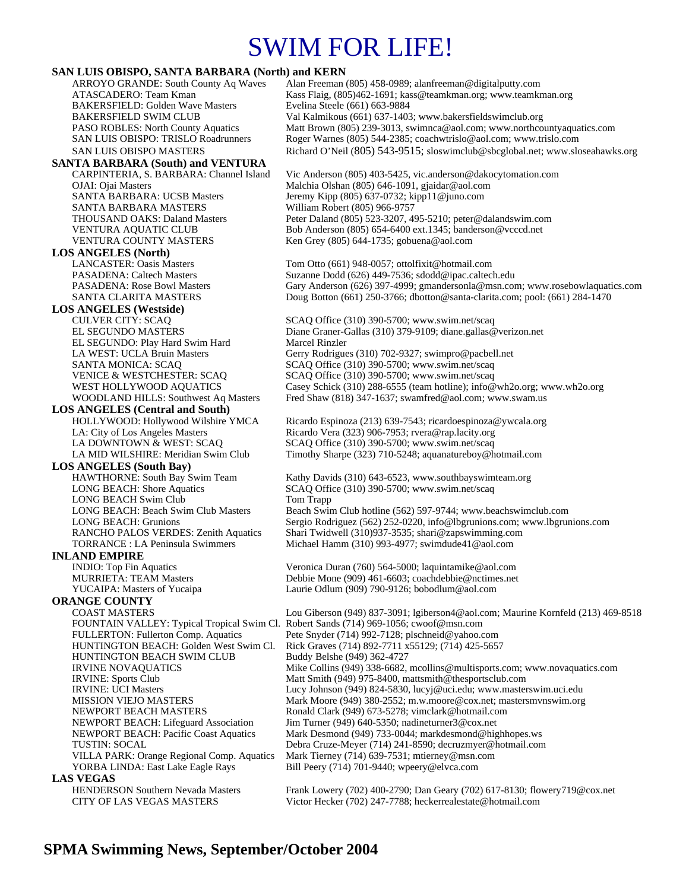## SWIM FOR LIFE!

#### **SAN LUIS OBISPO, SANTA BARBARA (North) and KERN**

ARROYO GRANDE: South County Aq Waves Alan Freeman (805) 458-0989; alanfreeman@digitalputty.com ATASCADERO: Team Kman Kass Flaig, (805)462-1691; kass@teamkman.org; www.teamkman.org BAKERSFIELD: Golden Wave Masters Evelina Steele (661) 663-9884<br>BAKERSFIELD SWIM CLUB Val Kalmikous (661) 637-1403 BAKERSFIELD SWIM CLUB Val Kalmikous (661) 637-1403; www.bakersfieldswimclub.org<br>PASO ROBLES: North County Aquatics Matt Brown (805) 239-3013, swimnca@aol.com; www.northco Matt Brown (805) 239-3013, swimnca@aol.com; www.northcountyaquatics.com SAN LUIS OBISPO: TRISLO Roadrunners Roger Warnes (805) 544-2385; coachwtrislo@aol.com; www.trislo.com SAN LUIS OBISPO MASTERS Richard O'Neil (805) 543-9515; sloswimclub@sbcglobal.net; www.sloseahawks.org **SANTA BARBARA (South) and VENTURA**  CARPINTERIA, S. BARBARA: Channel Island Vic Anderson (805) 403-5425, vic.anderson@dakocytomation.com OJAI: Ojai Masters Malchia Olshan (805) 646-1091, gjaidar@aol.com Jeremy Kipp (805) 637-0732; kipp11@juno.com SANTA BARBARA MASTERS William Robert (805) 966-9757 THOUSAND OAKS: Daland Masters Peter Daland (805) 523-3207, 495-5210; peter@dalandswim.com VENTURA AQUATIC CLUB Bob Anderson (805) 654-6400 ext.1345; banderson@vcccd.net VENTURA COUNTY MASTERS Ken Grey (805) 644-1735; gobuena@aol.com **LOS ANGELES (North)** Tom Otto (661) 948-0057; ottolfixit@hotmail.com PASADENA: Caltech Masters Suzanne Dodd (626) 449-7536; sdodd@ipac.caltech.edu PASADENA: Rose Bowl Masters Gary Anderson (626) 397-4999; gmandersonla@msn.com; www.rosebowlaquatics.com SANTA CLARITA MASTERS Doug Botton (661) 250-3766; dbotton@santa-clarita.com; pool: (661) 284-1470 **LOS ANGELES (Westside)** SCAQ Office (310) 390-5700; www.swim.net/scaq EL SEGUNDO MASTERS Diane Graner-Gallas (310) 379-9109; diane.gallas@verizon.net EL SEGUNDO: Play Hard Swim Hard Marcel Rinzler LA WEST: UCLA Bruin Masters Gerry Rodrigues (310) 702-9327; swimpro@pacbell.net<br>SANTA MONICA: SCAQ SERIC SCAQ Office (310) 390-5700; www.swim.net/scaq SCAQ Office (310) 390-5700; www.swim.net/scaq VENICE & WESTCHESTER: SCAQ SCAQ Office (310) 390-5700; www.swim.net/scaq WEST HOLLYWOOD AQUATICS Casey Schick (310) 288-6555 (team hotline); info@wh2o.org; www.wh2o.org WOODLAND HILLS: Southwest Aq Masters Fred Shaw (818) 347-1637; swamfred@aol.com; www.swam.us **LOS ANGELES (Central and South)**  HOLLYWOOD: Hollywood Wilshire YMCA Ricardo Espinoza (213) 639-7543; ricardoespinoza@ywcala.org LA: City of Los Angeles Masters Ricardo Vera (323) 906-7953; rvera@rap.lacity.org<br>LA DOWNTOWN & WEST: SCAQ SCAQ Office (310) 390-5700; www.swim.net/scaq SCAQ Office (310) 390-5700; www.swim.net/scaq LA MID WILSHIRE: Meridian Swim Club Timothy Sharpe (323) 710-5248; aquanatureboy@hotmail.com **LOS ANGELES (South Bay)**  HAWTHORNE: South Bay Swim Team Kathy Davids (310) 643-6523, www.southbayswimteam.org LONG BEACH: Shore Aquatics SCAQ Office (310) 390-5700; www.swim.net/scaq LONG BEACH Swim Club Tom Trapp LONG BEACH: Beach Swim Club Masters Beach Swim Club hotline (562) 597-9744; www.beachswimclub.com LONG BEACH: Grunions Sergio Rodriguez (562) 252-0220, info@lbgrunions.com; www.lbgrunions.com RANCHO PALOS VERDES: Zenith Aquatics Shari Twidwell (310)937-3535; shari@zapswimming.com<br>TORRANCE : LA Peninsula Swimmers Michael Hamm (310) 993-4977; swimdude41@aol.com Michael Hamm (310) 993-4977; swimdude41@aol.com **INLAND EMPIRE**<br>INDIO: Top Fin Aquatics Veronica Duran (760) 564-5000; laquintamike@aol.com MURRIETA: TEAM Masters Debbie Mone (909) 461-6603; coachdebbie@nctimes.net YUCAIPA: Masters of Yucaipa Laurie Odlum (909) 790-9126; bobodlum@aol.com **ORANGE COUNTY**  COAST MASTERS Lou Giberson (949) 837-3091; lgiberson4@aol.com; Maurine Kornfeld (213) 469-8518 FOUNTAIN VALLEY: Typical Tropical Swim Cl. Robert Sands (714) 969-1056; cwoof@msn.com FULLERTON: Fullerton Comp. Aquatics Pete Snyder (714) 992-7128; plschneid@yahoo.com HUNTINGTON BEACH: Golden West Swim Cl. Rick Graves (714) 892-7711 x55129; (714) 425-5657 HUNTINGTON BEACH SWIM CLUB IRVINE NOVAQUATICS Mike Collins (949) 338-6682, mcollins@multisports.com; www.novaquatics.com IRVINE: Sports Club Matt Smith (949) 975-8400, mattsmith@thesportsclub.com IRVINE: UCI Masters Lucy Johnson (949) 824-5830, lucyj@uci.edu; www.masterswim.uci.edu MISSION VIEJO MASTERS Mark Moore (949) 380-2552; m.w.moore@cox.net; mastersmvnswim.org NEWPORT BEACH MASTERS Ronald Clark (949) 673-5278; vimclark@hotmail.com NEWPORT BEACH: Lifeguard Association Jim Turner (949) 640-5350; nadineturner3@cox.net NEWPORT BEACH: Pacific Coast Aquatics Mark Desmond (949) 733-0044; markdesmond@highhopes.ws TUSTIN: SOCAL Debra Cruze-Meyer (714) 241-8590; decruzmyer@hotmail.com VILLA PARK: Orange Regional Comp. Aquatics Mark Tierney (714) 639-7531; mtierney@msn.com YORBA LINDA: East Lake Eagle Rays Bill Peery (714) 701-9440; wpeery@elvca.com **LAS VEGAS**<br>
HENDERSON Southern Nevada Masters

Frank Lowery (702) 400-2790; Dan Geary (702) 617-8130; flowery719@cox.net CITY OF LAS VEGAS MASTERS Victor Hecker (702) 247-7788; heckerrealestate@hotmail.com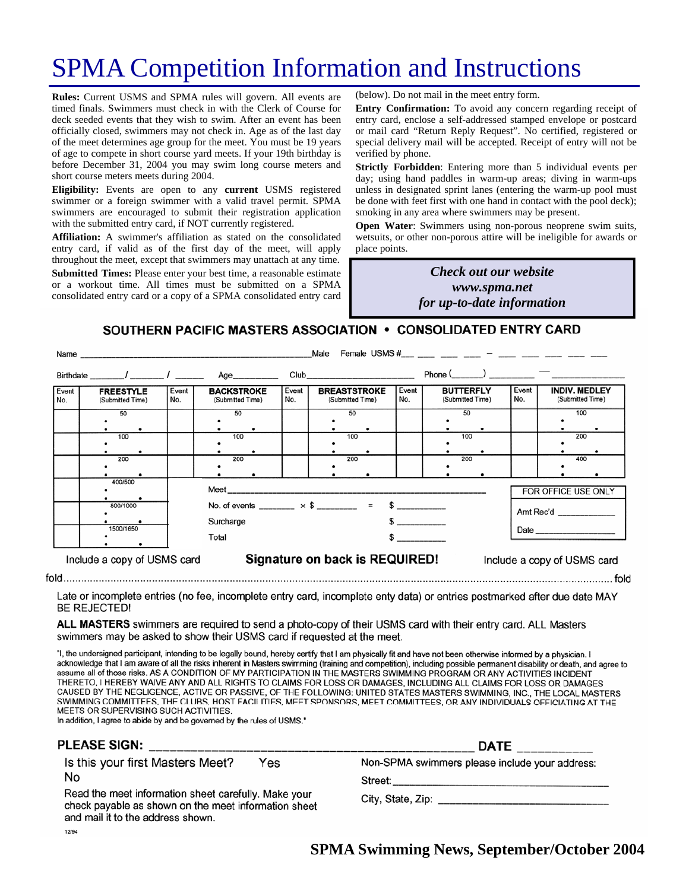## SPMA Competition Information and Instructions

**Rules:** Current USMS and SPMA rules will govern. All events are timed finals. Swimmers must check in with the Clerk of Course for deck seeded events that they wish to swim. After an event has been officially closed, swimmers may not check in. Age as of the last day of the meet determines age group for the meet. You must be 19 years of age to compete in short course yard meets. If your 19th birthday is before December 31, 2004 you may swim long course meters and short course meters meets during 2004.

**Eligibility:** Events are open to any **current** USMS registered swimmer or a foreign swimmer with a valid travel permit. SPMA swimmers are encouraged to submit their registration application with the submitted entry card, if NOT currently registered.

**Affiliation:** A swimmer's affiliation as stated on the consolidated entry card, if valid as of the first day of the meet, will apply throughout the meet, except that swimmers may unattach at any time. **Submitted Times:** Please enter your best time, a reasonable estimate or a workout time. All times must be submitted on a SPMA consolidated entry card or a copy of a SPMA consolidated entry card

(below). Do not mail in the meet entry form.

**Entry Confirmation:** To avoid any concern regarding receipt of entry card, enclose a self-addressed stamped envelope or postcard or mail card "Return Reply Request". No certified, registered or special delivery mail will be accepted. Receipt of entry will not be verified by phone.

**Strictly Forbidden**: Entering more than 5 individual events per day; using hand paddles in warm-up areas; diving in warm-ups unless in designated sprint lanes (entering the warm-up pool must be done with feet first with one hand in contact with the pool deck); smoking in any area where swimmers may be present.

**Open Water:** Swimmers using non-porous neoprene swim suits, wetsuits, or other non-porous attire will be ineligible for awards or place points.

### *Many the Check out our website Check out our website hosting www.spma.net providing dinner! for up-to-date information*

### SOUTHERN PACIFIC MASTERS ASSOCIATION • CONSOLIDATED ENTRY CARD

 $\sim$   $\sim$ 

|                             | Name                                  |              |                                                                      |              | Male                                                                                                                                                                                                                           |              |                                             |                     |                                          |  |
|-----------------------------|---------------------------------------|--------------|----------------------------------------------------------------------|--------------|--------------------------------------------------------------------------------------------------------------------------------------------------------------------------------------------------------------------------------|--------------|---------------------------------------------|---------------------|------------------------------------------|--|
|                             | Birthdate _______/ ________/ ________ |              | Age__________                                                        |              | Club and the contract of the contract of the contract of the contract of the contract of the contract of the contract of the contract of the contract of the contract of the contract of the contract of the contract of the c |              | Phone $(\qquad)$ $\qquad$ $\qquad$ $\qquad$ |                     |                                          |  |
| Event<br>No.                | <b>FREESTYLE</b><br>(Submitted Time)  | Event<br>No. | <b>BACKSTROKE</b><br>(Submitted Time)                                | Event<br>No. | <b>BREASTSTROKE</b><br>(Submitted Time)                                                                                                                                                                                        | Event<br>No. | <b>BUTTERFLY</b><br>(Submitted Time)        | Event<br>No.        | <b>INDIV. MEDLEY</b><br>(Submitted Time) |  |
|                             | 50                                    |              | 50                                                                   |              | 50                                                                                                                                                                                                                             |              | 50                                          |                     | 100                                      |  |
|                             | 100                                   |              | 100                                                                  |              | 100                                                                                                                                                                                                                            |              | 100                                         |                     | 200                                      |  |
|                             | 200                                   |              | 200                                                                  |              | 200                                                                                                                                                                                                                            |              | 200                                         |                     | 400                                      |  |
|                             | 400/500                               |              |                                                                      |              |                                                                                                                                                                                                                                |              |                                             | FOR OFFICE USE ONLY |                                          |  |
| 800/1000                    |                                       |              | No. of events _______ $\times$ \$ _______ = \$ ________<br>Surcharge |              |                                                                                                                                                                                                                                |              |                                             |                     | Amt Rec'd                                |  |
|                             | 1500/1650                             |              | Total                                                                |              |                                                                                                                                                                                                                                | $\sim$       |                                             |                     |                                          |  |
| Include a copy of USMS card |                                       |              | Signature on back is REQUIRED!<br>Include a copy of USMS card        |              |                                                                                                                                                                                                                                |              |                                             |                     |                                          |  |

Late or incomplete entries (no fee, incomplete entry card, incomplete enty data) or entries postmarked after due date MAY **BE REJECTED!** 

ALL MASTERS swimmers are required to send a photo-copy of their USMS card with their entry card. ALL Masters swimmers may be asked to show their USMS card if requested at the meet.

"I, the undersigned participant, intending to be legally bound, hereby certify that I am physically fit and have not been otherwise informed by a physician. I acknowledge that I am aware of all the risks inherent in Masters swimming (training and competition), including possible permanent disability or death, and agree to assume all of those risks. AS A CONDITION OF MY PARTICIPATION IN THE MASTERS SWIMMING PROGRAM OR ANY ACTIVITIES INCIDENT THERETO, I HEREBY WAIVE ANY AND ALL RIGHTS TO CLAIMS FOR LOSS OR DAMAGES, INCLUDING ALL CLAIMS FOR LOSS OR DAMAGES CAUSED BY THE NEGLIGENCE, ACTIVE OR PASSIVE, OF THE FOLLOWING: UNITED STATES MASTERS SWIMMING, INC., THE LOCAL MASTERS SWIMMING COMMITTEES, THE CLUBS, HOST FACILITIES, MEET SPONSORS, MEET COMMITTEES, OR ANY INDIVIDUALS OFFICIATING AT THE MEETS OR SUPERVISING SUCH ACTIVITIES.

In addition, I agree to abide by and be governed by the rules of USMS."

| <b>PLEASE SIGN:</b>                                                                                                                               | <b>DATE</b>                                    |  |  |
|---------------------------------------------------------------------------------------------------------------------------------------------------|------------------------------------------------|--|--|
| Is this your first Masters Meet?<br>Yes                                                                                                           | Non-SPMA swimmers please include your address: |  |  |
| No                                                                                                                                                | Street:                                        |  |  |
| Read the meet information sheet carefully. Make your<br>check payable as shown on the meet information sheet<br>and mail it to the address shown. |                                                |  |  |
| 12/94                                                                                                                                             |                                                |  |  |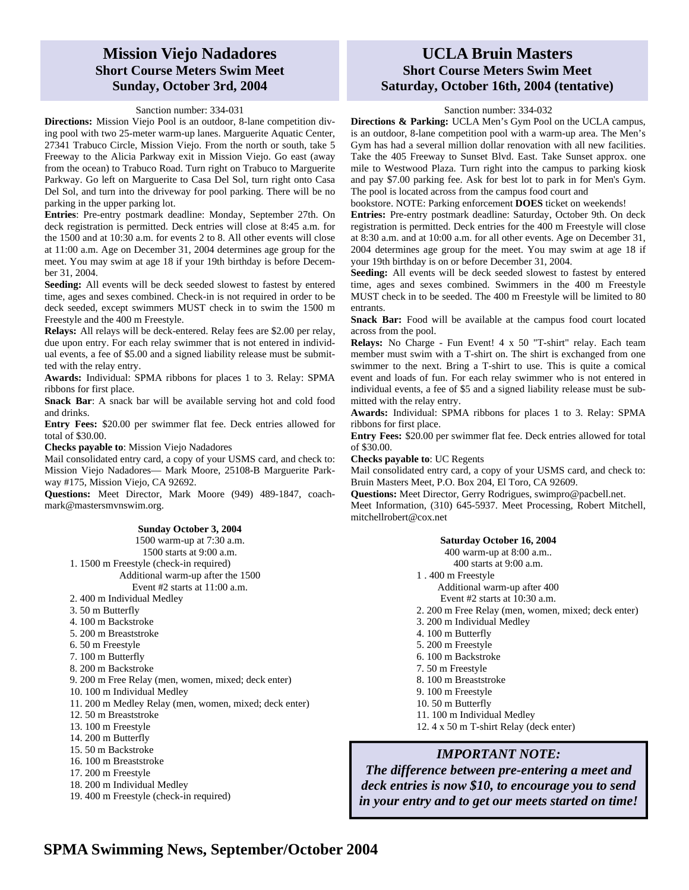### **Mission Viejo Nadadores Short Course Meters Swim Meet Sunday, October 3rd, 2004**

#### Sanction number: 334-031

**Directions:** Mission Viejo Pool is an outdoor, 8-lane competition diving pool with two 25-meter warm-up lanes. Marguerite Aquatic Center, 27341 Trabuco Circle, Mission Viejo. From the north or south, take 5 Freeway to the Alicia Parkway exit in Mission Viejo. Go east (away from the ocean) to Trabuco Road. Turn right on Trabuco to Marguerite Parkway. Go left on Marguerite to Casa Del Sol, turn right onto Casa Del Sol, and turn into the driveway for pool parking. There will be no parking in the upper parking lot.

**Entries**: Pre-entry postmark deadline: Monday, September 27th. On deck registration is permitted. Deck entries will close at 8:45 a.m. for the 1500 and at 10:30 a.m. for events 2 to 8. All other events will close at 11:00 a.m. Age on December 31, 2004 determines age group for the meet. You may swim at age 18 if your 19th birthday is before December 31, 2004.

**Seeding:** All events will be deck seeded slowest to fastest by entered time, ages and sexes combined. Check-in is not required in order to be deck seeded, except swimmers MUST check in to swim the 1500 m Freestyle and the 400 m Freestyle.

**Relays:** All relays will be deck-entered. Relay fees are \$2.00 per relay, due upon entry. For each relay swimmer that is not entered in individual events, a fee of \$5.00 and a signed liability release must be submitted with the relay entry.

**Awards:** Individual: SPMA ribbons for places 1 to 3. Relay: SPMA ribbons for first place.

**Snack Bar**: A snack bar will be available serving hot and cold food and drinks.

**Entry Fees:** \$20.00 per swimmer flat fee. Deck entries allowed for total of \$30.00.

**Checks payable to**: Mission Viejo Nadadores

Mail consolidated entry card, a copy of your USMS card, and check to: Mission Viejo Nadadores— Mark Moore, 25108-B Marguerite Parkway #175, Mission Viejo, CA 92692.

**Questions:** Meet Director, Mark Moore (949) 489-1847, coachmark@mastersmvnswim.org.

#### **Sunday October 3, 2004**

1500 warm-up at 7:30 a.m. 1500 starts at 9:00 a.m. 1. 1500 m Freestyle (check-in required) Additional warm-up after the 1500 Event #2 starts at 11:00 a.m.

- 2. 400 m Individual Medley
- 3. 50 m Butterfly
- 4. 100 m Backstroke
- 5. 200 m Breaststroke
- 6. 50 m Freestyle
- 7. 100 m Butterfly
- 8. 200 m Backstroke
- 9. 200 m Free Relay (men, women, mixed; deck enter)
- 10. 100 m Individual Medley
- 11. 200 m Medley Relay (men, women, mixed; deck enter)
- 12. 50 m Breaststroke
- 13. 100 m Freestyle
- 14. 200 m Butterfly
- 15. 50 m Backstroke
- 16. 100 m Breaststroke
- 17. 200 m Freestyle
- 18. 200 m Individual Medley
- 19. 400 m Freestyle (check-in required)

### **UCLA Bruin Masters Short Course Meters Swim Meet Saturday, October 16th, 2004 (tentative)**

#### Sanction number: 334-032

**Directions & Parking:** UCLA Men's Gym Pool on the UCLA campus, is an outdoor, 8-lane competition pool with a warm-up area. The Men's Gym has had a several million dollar renovation with all new facilities. Take the 405 Freeway to Sunset Blvd. East. Take Sunset approx. one mile to Westwood Plaza. Turn right into the campus to parking kiosk and pay \$7.00 parking fee. Ask for best lot to park in for Men's Gym. The pool is located across from the campus food court and

bookstore. NOTE: Parking enforcement **DOES** ticket on weekends!

**Entries:** Pre-entry postmark deadline: Saturday, October 9th. On deck registration is permitted. Deck entries for the 400 m Freestyle will close at 8:30 a.m. and at 10:00 a.m. for all other events. Age on December 31, 2004 determines age group for the meet. You may swim at age 18 if your 19th birthday is on or before December 31, 2004.

**Seeding:** All events will be deck seeded slowest to fastest by entered time, ages and sexes combined. Swimmers in the 400 m Freestyle MUST check in to be seeded. The 400 m Freestyle will be limited to 80 entrants.

**Snack Bar:** Food will be available at the campus food court located across from the pool.

**Relays:** No Charge - Fun Event! 4 x 50 "T-shirt" relay. Each team member must swim with a T-shirt on. The shirt is exchanged from one swimmer to the next. Bring a T-shirt to use. This is quite a comical event and loads of fun. For each relay swimmer who is not entered in individual events, a fee of \$5 and a signed liability release must be submitted with the relay entry.

**Awards:** Individual: SPMA ribbons for places 1 to 3. Relay: SPMA ribbons for first place.

**Entry Fees:** \$20.00 per swimmer flat fee. Deck entries allowed for total of \$30.00.

**Checks payable to**: UC Regents

Mail consolidated entry card, a copy of your USMS card, and check to: Bruin Masters Meet, P.O. Box 204, El Toro, CA 92609.

**Questions:** Meet Director, Gerry Rodrigues, swimpro@pacbell.net. Meet Information, (310) 645-5937. Meet Processing, Robert Mitchell,

mitchellrobert@cox.net

- **Saturday October 16, 2004**  400 warm-up at 8:00 a.m.. 400 starts at 9:00 a.m. 1 . 400 m Freestyle Additional warm-up after 400 Event #2 starts at 10:30 a.m. 2. 200 m Free Relay (men, women, mixed; deck enter) 3. 200 m Individual Medley 4. 100 m Butterfly 5. 200 m Freestyle 6. 100 m Backstroke 7. 50 m Freestyle
- 8. 100 m Breaststroke
- 9. 100 m Freestyle
- 10. 50 m Butterfly
- 11. 100 m Individual Medley
- 12. 4 x 50 m T-shirt Relay (deck enter)

### *IMPORTANT NOTE:*

*The difference between pre-entering a meet and deck entries is now \$10, to encourage you to send in your entry and to get our meets started on time!* 

## **SPMA Swimming News, September/October 2004**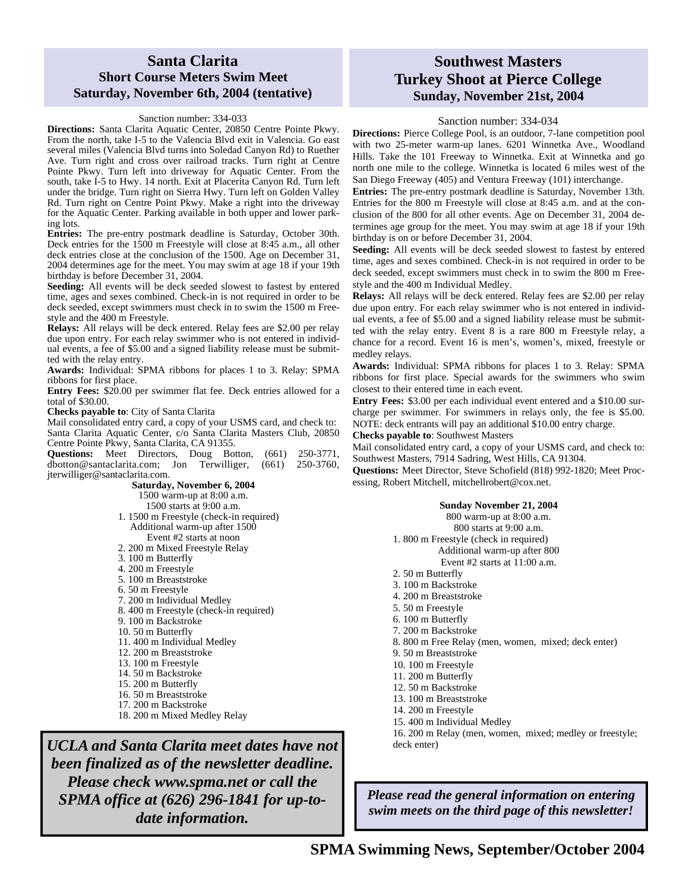### **Santa Clarita Short Course Meters Swim Meet Saturday, November 6th, 2004 (tentative)**

#### Sanction number: 334-033

**Directions:** Santa Clarita Aquatic Center, 20850 Centre Pointe Pkwy. From the north, take I-5 to the Valencia Blvd exit in Valencia. Go east several miles (Valencia Blvd turns into Soledad Canyon Rd) to Ruether Ave. Turn right and cross over railroad tracks. Turn right at Centre Pointe Pkwy. Turn left into driveway for Aquatic Center. From the south, take I-5 to Hwy. 14 north. Exit at Placerita Canyon Rd. Turn left under the bridge. Turn right on Sierra Hwy. Turn left on Golden Valley Rd. Turn right on Centre Point Pkwy. Make a right into the driveway for the Aquatic Center. Parking available in both upper and lower parking lots.

**Entries:** The pre-entry postmark deadline is Saturday, October 30th. Deck entries for the 1500 m Freestyle will close at 8:45 a.m., all other deck entries close at the conclusion of the 1500. Age on December 31, 2004 determines age for the meet. You may swim at age 18 if your 19th birthday is before December 31, 2004.

**Seeding:** All events will be deck seeded slowest to fastest by entered time, ages and sexes combined. Check-in is not required in order to be deck seeded, except swimmers must check in to swim the 1500 m Freestyle and the 400 m Freestyle.

**Relays:** All relays will be deck entered. Relay fees are \$2.00 per relay due upon entry. For each relay swimmer who is not entered in individual events, a fee of \$5.00 and a signed liability release must be submitted with the relay entry.

**Awards:** Individual: SPMA ribbons for places 1 to 3. Relay: SPMA ribbons for first place.

**Entry Fees:** \$20.00 per swimmer flat fee. Deck entries allowed for a total of \$30.00.

**Checks payable to**: City of Santa Clarita

Mail consolidated entry card, a copy of your USMS card, and check to: Santa Clarita Aquatic Center, c/o Santa Clarita Masters Club, 20850 Centre Pointe Pkwy, Santa Clarita, CA 91355.

**Questions:** Meet Directors, Doug Botton, (661) 250-3771, dbotton@santaclarita.com; Jon Terwilliger, (661) 250-3760, jterwilliger@santaclarita.com.

> **Saturday, November 6, 2004**  1500 warm-up at 8:00 a.m. 1500 starts at 9:00 a.m. 1. 1500 m Freestyle (check-in required)

- Additional warm-up after 1500 Event #2 starts at noon
- 2. 200 m Mixed Freestyle Relay
- 3. 100 m Butterfly
- 4. 200 m Freestyle
- 5. 100 m Breaststroke
- 6. 50 m Freestyle
- 7. 200 m Individual Medley
- 8. 400 m Freestyle (check-in required)
- 9. 100 m Backstroke
- 10. 50 m Butterfly
- 11. 400 m Individual Medley
- 12. 200 m Breaststroke
- 13. 100 m Freestyle
- 14. 50 m Backstroke
- 15. 200 m Butterfly
- 16. 50 m Breaststroke
- 17. 200 m Backstroke
- 18. 200 m Mixed Medley Relay

*UCLA and Santa Clarita meet dates have not been finalized as of the newsletter deadline. Please check www.spma.net or call the SPMA office at (626) 296-1841 for up-todate information.* 

### **Southwest Masters Turkey Shoot at Pierce College Sunday, November 21st, 2004**

#### Sanction number: 334-034

**Directions:** Pierce College Pool, is an outdoor, 7-lane competition pool with two 25-meter warm-up lanes. 6201 Winnetka Ave., Woodland Hills. Take the 101 Freeway to Winnetka. Exit at Winnetka and go north one mile to the college. Winnetka is located 6 miles west of the San Diego Freeway (405) and Ventura Freeway (101) interchange.

**Entries:** The pre-entry postmark deadline is Saturday, November 13th. Entries for the 800 m Freestyle will close at 8:45 a.m. and at the conclusion of the 800 for all other events. Age on December 31, 2004 determines age group for the meet. You may swim at age 18 if your 19th birthday is on or before December 31, 2004.

**Seeding:** All events will be deck seeded slowest to fastest by entered time, ages and sexes combined. Check-in is not required in order to be deck seeded, except swimmers must check in to swim the 800 m Freestyle and the 400 m Individual Medley.

**Relays:** All relays will be deck entered. Relay fees are \$2.00 per relay due upon entry. For each relay swimmer who is not entered in individual events, a fee of \$5.00 and a signed liability release must be submitted with the relay entry. Event 8 is a rare 800 m Freestyle relay, a chance for a record. Event 16 is men's, women's, mixed, freestyle or medley relays.

**Awards:** Individual: SPMA ribbons for places 1 to 3. Relay: SPMA ribbons for first place. Special awards for the swimmers who swim closest to their entered time in each event.

**Entry Fees:** \$3.00 per each individual event entered and a \$10.00 surcharge per swimmer. For swimmers in relays only, the fee is \$5.00. NOTE: deck entrants will pay an additional \$10.00 entry charge.

**Checks payable to**: Southwest Masters

Mail consolidated entry card, a copy of your USMS card, and check to: Southwest Masters, 7914 Sadring, West Hills, CA 91304.

**Questions:** Meet Director, Steve Schofield (818) 992-1820; Meet Processing, Robert Mitchell, mitchellrobert@cox.net.

| Sunday November 21, 2004                                 |
|----------------------------------------------------------|
| 800 warm-up at 8:00 a.m.                                 |
| 800 starts at 9:00 a.m.                                  |
| 1.800 m Freestyle (check in required)                    |
| Additional warm-up after 800                             |
| Event $#2$ starts at $11:00$ a.m.                        |
| 2.50 m Butterfly                                         |
| 3. 100 m Backstroke                                      |
| 4. 200 m Breaststroke                                    |
| 5. 50 m Freestyle                                        |
| 6. 100 m Butterfly                                       |
| 7. 200 m Backstroke                                      |
| 8. 800 m Free Relay (men, women, mixed; deck enter)      |
| 9. 50 m Breaststroke                                     |
| 10. 100 m Freestyle                                      |
| 11. 200 m Butterfly                                      |
| 12.50 m Backstroke                                       |
| 13. 100 m Breaststroke                                   |
| 14. 200 m Freestyle                                      |
| 15.400 m Individual Medley                               |
| 16. 200 m Relay (men, women, mixed; medley or freestyle; |
| deck enter)                                              |

*Please read the general information on entering swim meets on the third page of this newsletter!*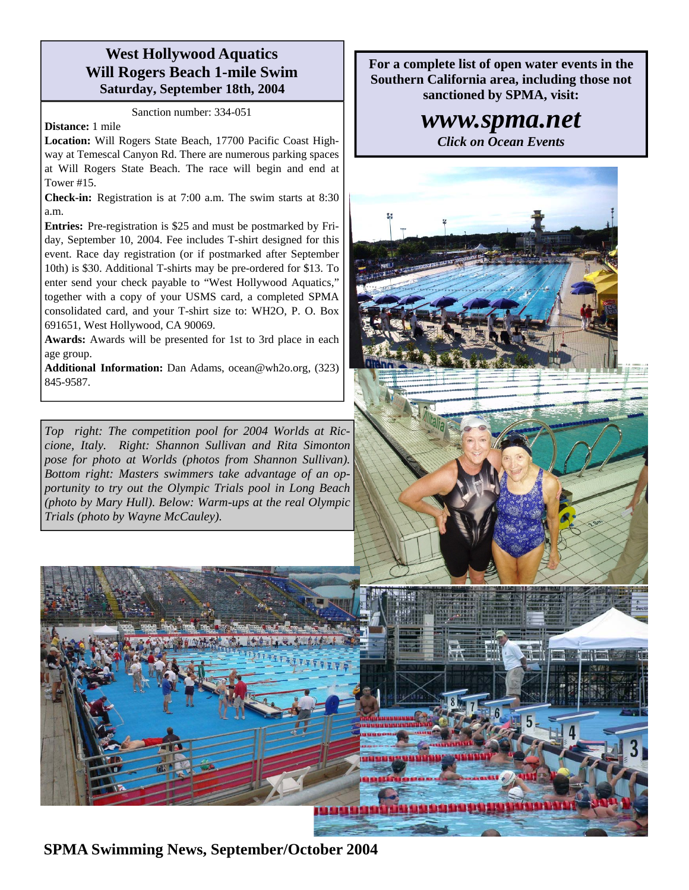## **West Hollywood Aquatics Will Rogers Beach 1-mile Swim Saturday, September 18th, 2004**

Sanction number: 334-051

#### **Distance:** 1 mile

**Location:** Will Rogers State Beach, 17700 Pacific Coast Highway at Temescal Canyon Rd. There are numerous parking spaces at Will Rogers State Beach. The race will begin and end at Tower #15.

**Check-in:** Registration is at 7:00 a.m. The swim starts at 8:30 a.m.

**Entries:** Pre-registration is \$25 and must be postmarked by Friday, September 10, 2004. Fee includes T-shirt designed for this event. Race day registration (or if postmarked after September 10th) is \$30. Additional T-shirts may be pre-ordered for \$13. To enter send your check payable to "West Hollywood Aquatics," together with a copy of your USMS card, a completed SPMA consolidated card, and your T-shirt size to: WH2O, P. O. Box 691651, West Hollywood, CA 90069.

**Awards:** Awards will be presented for 1st to 3rd place in each age group.

**Additional Information:** Dan Adams, ocean@wh2o.org, (323) 845-9587.

*Top right: The competition pool for 2004 Worlds at Riccione, Italy. Right: Shannon Sullivan and Rita Simonton pose for photo at Worlds (photos from Shannon Sullivan). Bottom right: Masters swimmers take advantage of an opportunity to try out the Olympic Trials pool in Long Beach (photo by Mary Hull). Below: Warm-ups at the real Olympic Trials (photo by Wayne McCauley).* 

**For a complete list of open water events in the Southern California area, including those not sanctioned by SPMA, visit:** 

## *www.spma.net*

*Click on Ocean Events* 



**SPMA Swimming News, September/October 2004**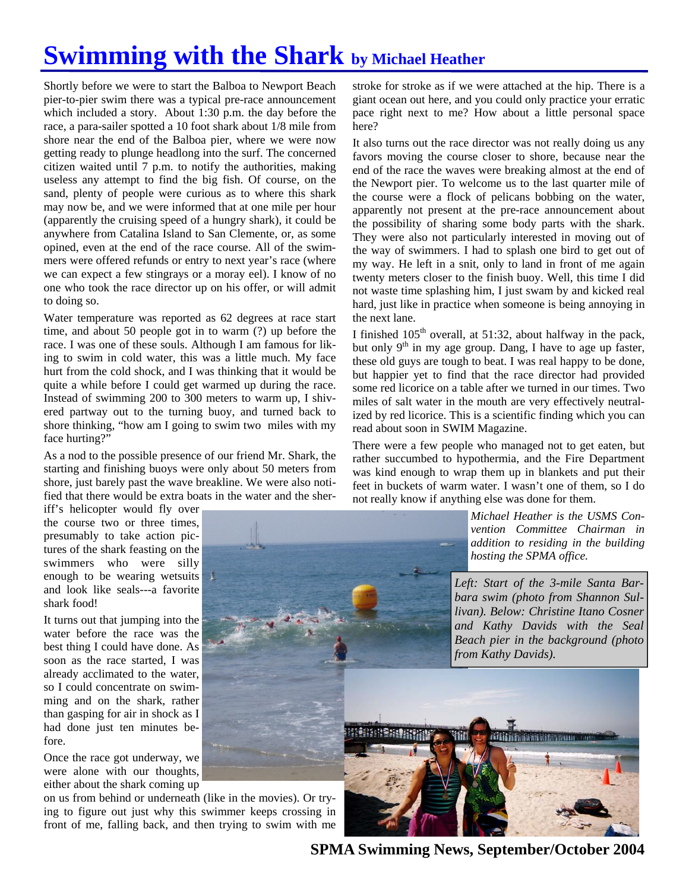# **Swimming with the Shark by Michael Heather**

Shortly before we were to start the Balboa to Newport Beach pier-to-pier swim there was a typical pre-race announcement which included a story. About 1:30 p.m. the day before the race, a para-sailer spotted a 10 foot shark about 1/8 mile from shore near the end of the Balboa pier, where we were now getting ready to plunge headlong into the surf. The concerned citizen waited until 7 p.m. to notify the authorities, making useless any attempt to find the big fish. Of course, on the sand, plenty of people were curious as to where this shark may now be, and we were informed that at one mile per hour (apparently the cruising speed of a hungry shark), it could be anywhere from Catalina Island to San Clemente, or, as some opined, even at the end of the race course. All of the swimmers were offered refunds or entry to next year's race (where we can expect a few stingrays or a moray eel). I know of no one who took the race director up on his offer, or will admit to doing so.

Water temperature was reported as 62 degrees at race start time, and about 50 people got in to warm (?) up before the race. I was one of these souls. Although I am famous for liking to swim in cold water, this was a little much. My face hurt from the cold shock, and I was thinking that it would be quite a while before I could get warmed up during the race. Instead of swimming 200 to 300 meters to warm up, I shivered partway out to the turning buoy, and turned back to shore thinking, "how am I going to swim two miles with my face hurting?"

As a nod to the possible presence of our friend Mr. Shark, the starting and finishing buoys were only about 50 meters from shore, just barely past the wave breakline. We were also notified that there would be extra boats in the water and the sher-

iff's helicopter would fly over the course two or three times, presumably to take action pictures of the shark feasting on the swimmers who were silly enough to be wearing wetsuits and look like seals---a favorite shark food!

It turns out that jumping into the water before the race was the best thing I could have done. As soon as the race started, I was already acclimated to the water, so I could concentrate on swimming and on the shark, rather than gasping for air in shock as I had done just ten minutes before.

Once the race got underway, we were alone with our thoughts, either about the shark coming up

on us from behind or underneath (like in the movies). Or trying to figure out just why this swimmer keeps crossing in front of me, falling back, and then trying to swim with me

stroke for stroke as if we were attached at the hip. There is a giant ocean out here, and you could only practice your erratic pace right next to me? How about a little personal space here?

It also turns out the race director was not really doing us any favors moving the course closer to shore, because near the end of the race the waves were breaking almost at the end of the Newport pier. To welcome us to the last quarter mile of the course were a flock of pelicans bobbing on the water, apparently not present at the pre-race announcement about the possibility of sharing some body parts with the shark. They were also not particularly interested in moving out of the way of swimmers. I had to splash one bird to get out of my way. He left in a snit, only to land in front of me again twenty meters closer to the finish buoy. Well, this time I did not waste time splashing him, I just swam by and kicked real hard, just like in practice when someone is being annoying in the next lane.

I finished  $105<sup>th</sup>$  overall, at 51:32, about halfway in the pack, but only 9<sup>th</sup> in my age group. Dang, I have to age up faster, these old guys are tough to beat. I was real happy to be done, but happier yet to find that the race director had provided some red licorice on a table after we turned in our times. Two miles of salt water in the mouth are very effectively neutralized by red licorice. This is a scientific finding which you can read about soon in SWIM Magazine.

There were a few people who managed not to get eaten, but rather succumbed to hypothermia, and the Fire Department was kind enough to wrap them up in blankets and put their feet in buckets of warm water. I wasn't one of them, so I do not really know if anything else was done for them.

> *Michael Heather is the USMS Convention Committee Chairman in*

**SPMA Swimming News, September/October 2004**